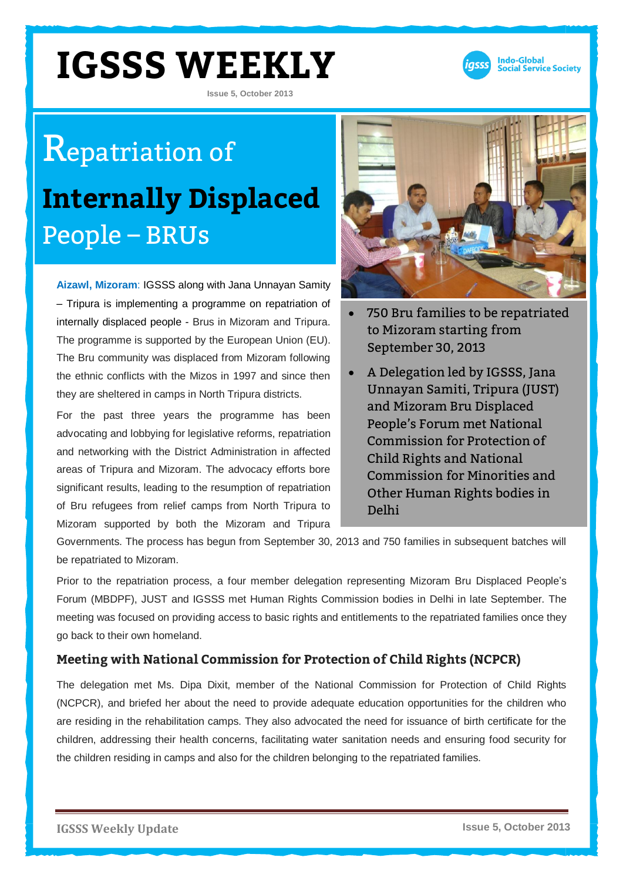**Issue 5, October 2013**



## Repatriation of **Internally Displaced**  People – BRUs

**Aizawl, Mizoram**: IGSSS along with Jana Unnayan Samity – Tripura is implementing a programme on repatriation of internally displaced people - Brus in Mizoram and Tripura. The programme is supported by the European Union (EU). The Bru community was displaced from Mizoram following the ethnic conflicts with the Mizos in 1997 and since then they are sheltered in camps in North Tripura districts.

For the past three years the programme has been advocating and lobbying for legislative reforms, repatriation and networking with the District Administration in affected areas of Tripura and Mizoram. The advocacy efforts bore significant results, leading to the resumption of repatriation of Bru refugees from relief camps from North Tripura to Mizoram supported by both the Mizoram and Tripura



- 750 Bru families to be repatriated to Mizoram starting from September 30, 2013
- A Delegation led by IGSSS, Jana Unnayan Samiti, Tripura (JUST) and Mizoram Bru Displaced People's Forum met National Commission for Protection of Child Rights and National Commission for Minorities and Other Human Rights bodies in Delhi

Governments. The process has begun from September 30, 2013 and 750 families in subsequent batches will be repatriated to Mizoram.

Prior to the repatriation process, a four member delegation representing Mizoram Bru Displaced People's Forum (MBDPF), JUST and IGSSS met Human Rights Commission bodies in Delhi in late September. The meeting was focused on providing access to basic rights and entitlements to the repatriated families once they go back to their own homeland.

#### **Meeting with National Commission for Protection of Child Rights (NCPCR)**

The delegation met Ms. Dipa Dixit, member of the National Commission for Protection of Child Rights (NCPCR), and briefed her about the need to provide adequate education opportunities for the children who are residing in the rehabilitation camps. They also advocated the need for issuance of birth certificate for the children, addressing their health concerns, facilitating water sanitation needs and ensuring food security for the children residing in camps and also for the children belonging to the repatriated families.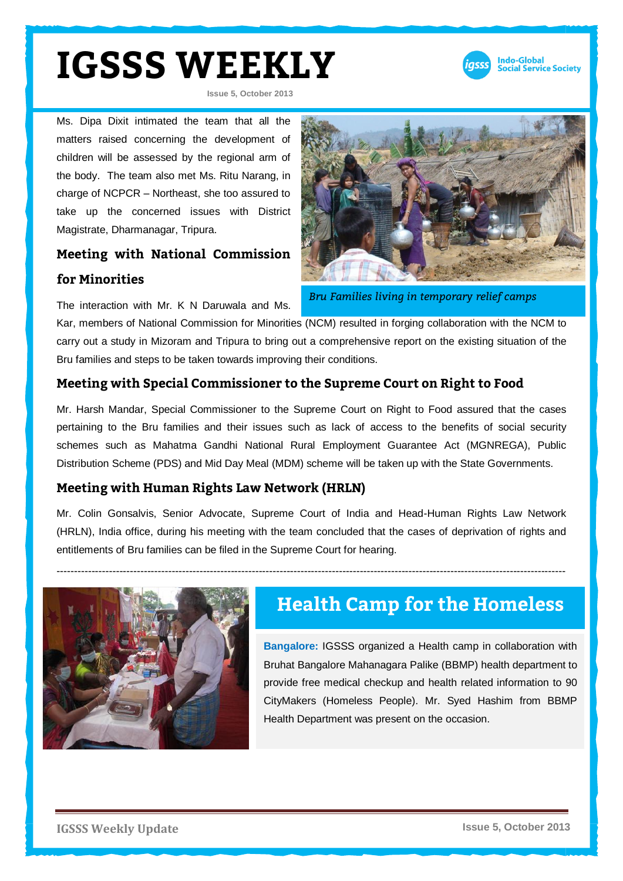

**Issue 5, October 2013**

Ms. Dipa Dixit intimated the team that all the matters raised concerning the development of children will be assessed by the regional arm of the body. The team also met Ms. Ritu Narang, in charge of NCPCR – Northeast, she too assured to take up the concerned issues with District Magistrate, Dharmanagar, Tripura.

#### **Meeting with National Commission for Minorities**

The interaction with Mr. K N Daruwala and Ms.



*Bru Families living in temporary relief camps* 

Kar, members of National Commission for Minorities (NCM) resulted in forging collaboration with the NCM to carry out a study in Mizoram and Tripura to bring out a comprehensive report on the existing situation of the Bru families and steps to be taken towards improving their conditions.

#### **Meeting with Special Commissioner to the Supreme Court on Right to Food**

Mr. Harsh Mandar, Special Commissioner to the Supreme Court on Right to Food assured that the cases pertaining to the Bru families and their issues such as lack of access to the benefits of social security schemes such as Mahatma Gandhi National Rural Employment Guarantee Act (MGNREGA), Public Distribution Scheme (PDS) and Mid Day Meal (MDM) scheme will be taken up with the State Governments.

#### **Meeting with Human Rights Law Network (HRLN)**

Mr. Colin Gonsalvis, Senior Advocate, Supreme Court of India and Head-Human Rights Law Network (HRLN), India office, during his meeting with the team concluded that the cases of deprivation of rights and entitlements of Bru families can be filed in the Supreme Court for hearing.



### **Health Camp for the Homeless**

**Bangalore:** IGSSS organized a Health camp in collaboration with Bruhat Bangalore Mahanagara Palike (BBMP) health department to provide free medical checkup and health related information to 90 CityMakers (Homeless People). Mr. Syed Hashim from BBMP Health Department was present on the occasion.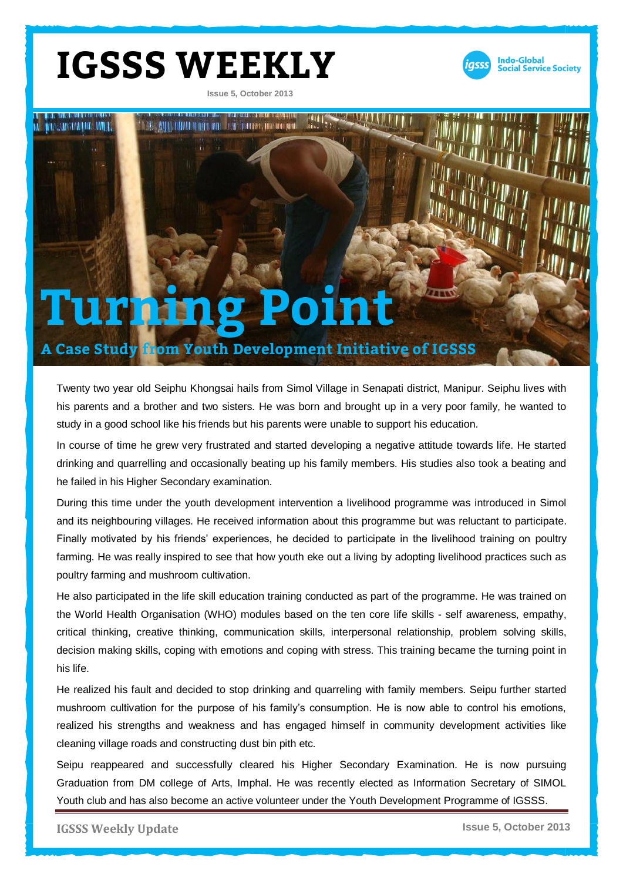**Issue 5, October 2013**



# **THE CARGE OF LIVE TIME** CONTRACTOR DE APPRAIAS DE SE TRANSVILLAGE ANNO DE ANNO 1999 **Turning Point A Case Study from Youth Development Initiative of IGSSS**

Twenty two year old Seiphu Khongsai hails from Simol Village in Senapati district, Manipur. Seiphu lives with his parents and a brother and two sisters. He was born and brought up in a very poor family, he wanted to study in a good school like his friends but his parents were unable to support his education.

In course of time he grew very frustrated and started developing a negative attitude towards life. He started drinking and quarrelling and occasionally beating up his family members. His studies also took a beating and he failed in his Higher Secondary examination.

During this time under the youth development intervention a livelihood programme was introduced in Simol and its neighbouring villages. He received information about this programme but was reluctant to participate. Finally motivated by his friends' experiences, he decided to participate in the livelihood training on poultry farming. He was really inspired to see that how youth eke out a living by adopting livelihood practices such as poultry farming and mushroom cultivation.

He also participated in the life skill education training conducted as part of the programme. He was trained on the World Health Organisation (WHO) modules based on the ten core life skills - self awareness, empathy, critical thinking, creative thinking, communication skills, interpersonal relationship, problem solving skills, decision making skills, coping with emotions and coping with stress. This training became the turning point in his life.

He realized his fault and decided to stop drinking and quarreling with family members. Seipu further started mushroom cultivation for the purpose of his family's consumption. He is now able to control his emotions, realized his strengths and weakness and has engaged himself in community development activities like cleaning village roads and constructing dust bin pith etc.

Seipu reappeared and successfully cleared his Higher Secondary Examination. He is now pursuing Graduation from DM college of Arts, Imphal. He was recently elected as Information Secretary of SIMOL Youth club and has also become an active volunteer under the Youth Development Programme of IGSSS.

**IGSSS Weekly Update Issue 5, October 2013**